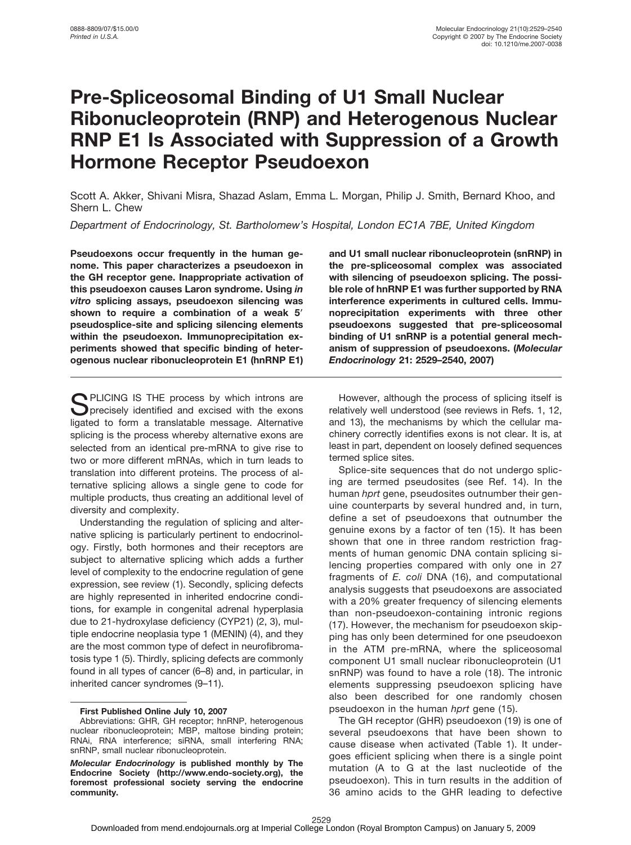# **Pre-Spliceosomal Binding of U1 Small Nuclear Ribonucleoprotein (RNP) and Heterogenous Nuclear RNP E1 Is Associated with Suppression of a Growth Hormone Receptor Pseudoexon**

Scott A. Akker, Shivani Misra, Shazad Aslam, Emma L. Morgan, Philip J. Smith, Bernard Khoo, and Shern L. Chew

*Department of Endocrinology, St. Bartholomew's Hospital, London EC1A 7BE, United Kingdom*

**Pseudoexons occur frequently in the human genome. This paper characterizes a pseudoexon in the GH receptor gene. Inappropriate activation of this pseudoexon causes Laron syndrome. Using** *in vitro* **splicing assays, pseudoexon silencing was shown to require a combination of a weak 5 pseudosplice-site and splicing silencing elements within the pseudoexon. Immunoprecipitation experiments showed that specific binding of heterogenous nuclear ribonucleoprotein E1 (hnRNP E1)**

**SPLICING IS THE process by which introns are**<br>Sprecisely identified and excised with the exons<br>lineated to farm a translatable measure. Alternative ligated to form a translatable message. Alternative splicing is the process whereby alternative exons are selected from an identical pre-mRNA to give rise to two or more different mRNAs, which in turn leads to translation into different proteins. The process of alternative splicing allows a single gene to code for multiple products, thus creating an additional level of diversity and complexity.

Understanding the regulation of splicing and alternative splicing is particularly pertinent to endocrinology. Firstly, both hormones and their receptors are subject to alternative splicing which adds a further level of complexity to the endocrine regulation of gene expression, see review (1). Secondly, splicing defects are highly represented in inherited endocrine conditions, for example in congenital adrenal hyperplasia due to 21-hydroxylase deficiency (CYP21) (2, 3), multiple endocrine neoplasia type 1 (MENIN) (4), and they are the most common type of defect in neurofibromatosis type 1 (5). Thirdly, splicing defects are commonly found in all types of cancer (6–8) and, in particular, in inherited cancer syndromes (9–11).

**First Published Online July 10, 2007**

**and U1 small nuclear ribonucleoprotein (snRNP) in the pre-spliceosomal complex was associated with silencing of pseudoexon splicing. The possible role of hnRNP E1 was further supported by RNA interference experiments in cultured cells. Immunoprecipitation experiments with three other pseudoexons suggested that pre-spliceosomal binding of U1 snRNP is a potential general mechanism of suppression of pseudoexons. (***Molecular Endocrinology* **21: 2529–2540, 2007)**

However, although the process of splicing itself is relatively well understood (see reviews in Refs. 1, 12, and 13), the mechanisms by which the cellular machinery correctly identifies exons is not clear. It is, at least in part, dependent on loosely defined sequences termed splice sites.

Splice-site sequences that do not undergo splicing are termed pseudosites (see Ref. 14). In the human *hprt* gene, pseudosites outnumber their genuine counterparts by several hundred and, in turn, define a set of pseudoexons that outnumber the genuine exons by a factor of ten (15). It has been shown that one in three random restriction fragments of human genomic DNA contain splicing silencing properties compared with only one in 27 fragments of *E. coli* DNA (16), and computational analysis suggests that pseudoexons are associated with a 20% greater frequency of silencing elements than non-pseudoexon-containing intronic regions (17). However, the mechanism for pseudoexon skipping has only been determined for one pseudoexon in the ATM pre-mRNA, where the spliceosomal component U1 small nuclear ribonucleoprotein (U1 snRNP) was found to have a role (18). The intronic elements suppressing pseudoexon splicing have also been described for one randomly chosen pseudoexon in the human *hprt* gene (15).

The GH receptor (GHR) pseudoexon (19) is one of several pseudoexons that have been shown to cause disease when activated (Table 1). It undergoes efficient splicing when there is a single point mutation (A to G at the last nucleotide of the pseudoexon). This in turn results in the addition of 36 amino acids to the GHR leading to defective

Abbreviations: GHR, GH receptor; hnRNP, heterogenous nuclear ribonucleoprotein; MBP, maltose binding protein; RNAi, RNA interference; siRNA, small interfering RNA; snRNP, small nuclear ribonucleoprotein.

*Molecular Endocrinology* **is published monthly by The Endocrine Society (http://www.endo-society.org), the foremost professional society serving the endocrine community.**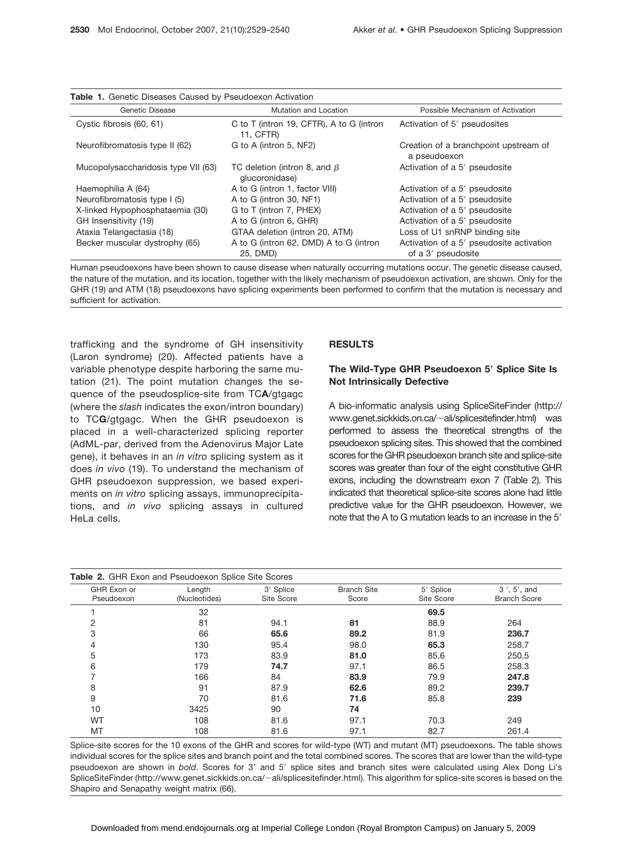| Genetic Disease                     | Mutation and Location                                 | Possible Mechanism of Activation<br>Activation of 5' pseudosites |  |
|-------------------------------------|-------------------------------------------------------|------------------------------------------------------------------|--|
| Cystic fibrosis (60, 61)            | C to T (intron 19, CFTR), A to G (intron<br>11. CFTR) |                                                                  |  |
| Neurofibromatosis type II (62)      | G to A (intron 5, NF2)                                | Creation of a branchpoint upstream of<br>a pseudoexon            |  |
| Mucopolysaccharidosis type VII (63) | TC deletion (intron 8, and $\beta$<br>qlucoronidase)  | Activation of a 5' pseudosite                                    |  |
| Haemophilia A (64)                  | A to G (intron 1, factor VIII)                        | Activation of a 5' pseudosite                                    |  |
| Neurofibromatosis type I (5)        | A to G (intron 30, NF1)                               | Activation of a 5' pseudosite                                    |  |
| X-linked Hypophosphataemia (30)     | G to T (intron 7, PHEX)                               | Activation of a 5' pseudosite                                    |  |
| GH Insensitivity (19)               | A to G (intron 6, GHR)                                | Activation of a 5' pseudosite                                    |  |
| Ataxia Telangectasia (18)           | GTAA deletion (intron 20, ATM)                        | Loss of U1 snRNP binding site                                    |  |
| Becker muscular dystrophy (65)      | A to G (intron 62, DMD) A to G (intron<br>25. DMD)    | Activation of a 5' pseudosite activation<br>of a 3' pseudosite   |  |

**Table 1.** Genetic Diseases Caused by Pseudoexon Activation

Human pseudoexons have been shown to cause disease when naturally occurring mutations occur. The genetic disease caused, the nature of the mutation, and its location, together with the likely mechanism of pseudoexon activation, are shown. Only for the GHR (19) and ATM (18) pseudoexons have splicing experiments been performed to confirm that the mutation is necessary and sufficient for activation.

trafficking and the syndrome of GH insensitivity (Laron syndrome) (20). Affected patients have a variable phenotype despite harboring the same mutation (21). The point mutation changes the sequence of the pseudosplice-site from TC**A**/gtgagc (where the *slash* indicates the exon/intron boundary) to TC**G**/gtgagc. When the GHR pseudoexon is placed in a well-characterized splicing reporter (AdML-par, derived from the Adenovirus Major Late gene), it behaves in an *in vitro* splicing system as it does *in vivo* (19). To understand the mechanism of GHR pseudoexon suppression, we based experiments on *in vitro* splicing assays, immunoprecipitations, and *in vivo* splicing assays in cultured HeLa cells.

## **RESULTS**

# **The Wild-Type GHR Pseudoexon 5 Splice Site Is Not Intrinsically Defective**

A bio-informatic analysis using SpliceSiteFinder (http:// www.genet.sickkids.on.ca/~ali/splicesitefinder.html) was performed to assess the theoretical strengths of the pseudoexon splicing sites. This showed that the combined scores for the GHR pseudoexon branch site and splice-site scores was greater than four of the eight constitutive GHR exons, including the downstream exon 7 (Table 2). This indicated that theoretical splice-site scores alone had little predictive value for the GHR pseudoexon. However, we note that the A to G mutation leads to an increase in the 5'

| GHR Exon or | Length        | 3' Splice  | <b>Branch Site</b> | 5' Splice  | 3', 5', and         |
|-------------|---------------|------------|--------------------|------------|---------------------|
| Pseudoexon  | (Nucleotides) | Site Score | Score              | Site Score | <b>Branch Score</b> |
|             | 32            |            |                    | 69.5       |                     |
| 2           | 81            | 94.1       | 81                 | 88.9       | 264                 |
| 3           | 66            | 65.6       | 89.2               | 81.9       | 236.7               |
| 4           | 130           | 95.4       | 98.0               | 65.3       | 258.7               |
| 5           | 173           | 83.9       | 81.0               | 85.6       | 250.5               |
| 6           | 179           | 74.7       | 97.1               | 86.5       | 258.3               |
|             | 166           | 84         | 83.9               | 79.9       | 247.8               |
| 8           | 91            | 87.9       | 62.6               | 89.2       | 239.7               |
| 9           | 70            | 81.6       | 71.6               | 85.8       | 239                 |
| 10          | 3425          | 90         | 74                 |            |                     |
| <b>WT</b>   | 108           | 81.6       | 97.1               | 70.3       | 249                 |
| MT          | 108           | 81.6       | 97.1               | 82.7       | 261.4               |

Splice-site scores for the 10 exons of the GHR and scores for wild-type (WT) and mutant (MT) pseudoexons. The table shows individual scores for the splice sites and branch point and the total combined scores. The scores that are lower than the wild-type pseudoexon are shown in *bold*. Scores for 3' and 5' splice sites and branch sites were calculated using Alex Dong Li's SpliceSiteFinder (http://www.genet.sickkids.on.ca/~ali/splicesitefinder.html). This algorithm for splice-site scores is based on the Shapiro and Senapathy weight matrix (66).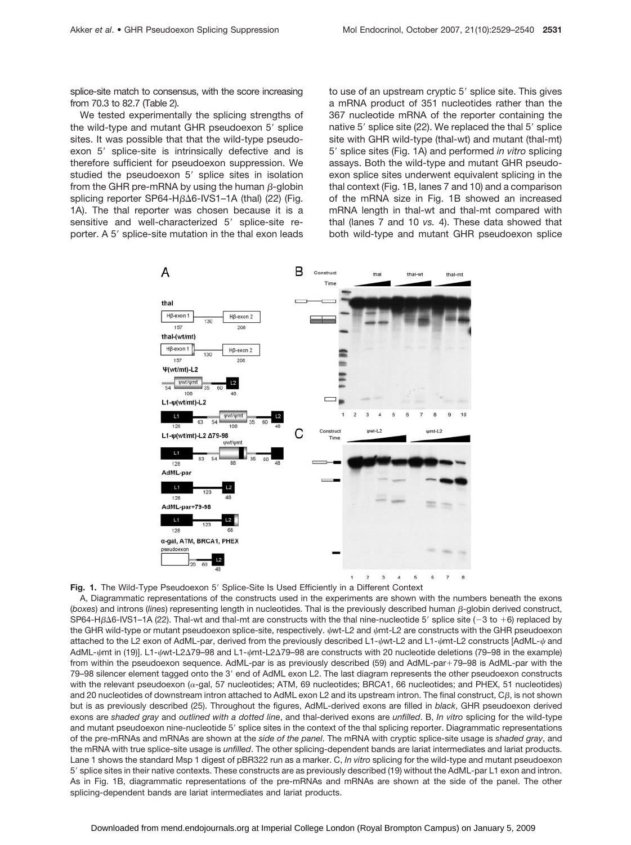splice-site match to consensus, with the score increasing from 70.3 to 82.7 (Table 2).

We tested experimentally the splicing strengths of the wild-type and mutant GHR pseudoexon 5' splice sites. It was possible that that the wild-type pseudoexon 5' splice-site is intrinsically defective and is therefore sufficient for pseudoexon suppression. We studied the pseudoexon 5' splice sites in isolation from the GHR pre-mRNA by using the human  $\beta$ -globin splicing reporter SP64-H $\beta\Delta$ 6-IVS1-1A (thal) (22) (Fig. 1A). The thal reporter was chosen because it is a sensitive and well-characterized 5' splice-site reporter. A 5' splice-site mutation in the thal exon leads

to use of an upstream cryptic 5' splice site. This gives a mRNA product of 351 nucleotides rather than the 367 nucleotide mRNA of the reporter containing the native 5' splice site (22). We replaced the thal 5' splice site with GHR wild-type (thal-wt) and mutant (thal-mt) 5' splice sites (Fig. 1A) and performed *in vitro* splicing assays. Both the wild-type and mutant GHR pseudoexon splice sites underwent equivalent splicing in the thal context (Fig. 1B, lanes 7 and 10) and a comparison of the mRNA size in Fig. 1B showed an increased mRNA length in thal-wt and thal-mt compared with thal (lanes 7 and 10 *vs.* 4). These data showed that both wild-type and mutant GHR pseudoexon splice



Fig. 1. The Wild-Type Pseudoexon 5' Splice-Site Is Used Efficiently in a Different Context

A, Diagrammatic representations of the constructs used in the experiments are shown with the numbers beneath the exons (boxes) and introns (*lines*) representing length in nucleotides. Thal is the previously described human  $\beta$ -globin derived construct, SP64-H $\beta$ ∆6-IVS1-1A (22). Thal-wt and thal-mt are constructs with the thal nine-nucleotide 5' splice site (-3 to +6) replaced by the GHR wild-type or mutant pseudoexon splice-site, respectively.  $\psi$ wt-L2 and  $\psi$ mt-L2 are constructs with the GHR pseudoexon attached to the L2 exon of AdML-par, derived from the previously described L1- $\psi$ wt-L2 and L1- $\psi$ mt-L2 constructs [AdML- $\psi$  and AdML- $\psi$ mt in (19)]. L1- $\psi$ wt-L2∆79–98 and L1- $\psi$ mt-L2∆79–98 are constructs with 20 nucleotide deletions (79–98 in the example) from within the pseudoexon sequence. AdML-par is as previously described (59) and AdML-par+79–98 is AdML-par with the 79–98 silencer element tagged onto the 3' end of AdML exon L2. The last diagram represents the other pseudoexon constructs with the relevant pseudoexon ( $\alpha$ -gal, 57 nucleotides; ATM, 69 nucleotides; BRCA1, 66 nucleotides; and PHEX, 51 nucleotides) and 20 nucleotides of downstream intron attached to AdML exon L2 and its upstream intron. The final construct,  $C\beta$ , is not shown but is as previously described (25). Throughout the figures, AdML-derived exons are filled in *black*, GHR pseudoexon derived exons are *shaded gray* and *outlined with a dotted line*, and thal-derived exons are *unfilled*. B, *In vitro* splicing for the wild-type and mutant pseudoexon nine-nucleotide 5' splice sites in the context of the thal splicing reporter. Diagrammatic representations of the pre-mRNAs and mRNAs are shown at the *side of the panel*. The mRNA with cryptic splice-site usage is *shaded gray*, and the mRNA with true splice-site usage is *unfilled*. The other splicing-dependent bands are lariat intermediates and lariat products. Lane 1 shows the standard Msp 1 digest of pBR322 run as a marker. C, *In vitro* splicing for the wild-type and mutant pseudoexon 5- splice sites in their native contexts. These constructs are as previously described (19) without the AdML-par L1 exon and intron. As in Fig. 1B, diagrammatic representations of the pre-mRNAs and mRNAs are shown at the side of the panel. The other splicing-dependent bands are lariat intermediates and lariat products.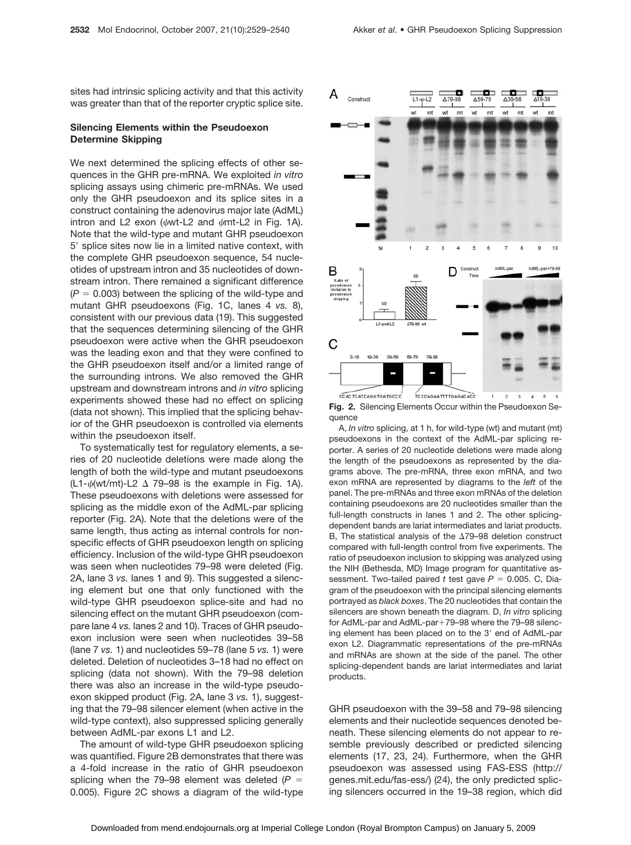sites had intrinsic splicing activity and that this activity was greater than that of the reporter cryptic splice site.

## **Silencing Elements within the Pseudoexon Determine Skipping**

We next determined the splicing effects of other sequences in the GHR pre-mRNA. We exploited *in vitro* splicing assays using chimeric pre-mRNAs. We used only the GHR pseudoexon and its splice sites in a construct containing the adenovirus major late (AdML) intron and L2 exon ( $\psi$ wt-L2 and  $\psi$ mt-L2 in Fig. 1A). Note that the wild-type and mutant GHR pseudoexon 5' splice sites now lie in a limited native context, with the complete GHR pseudoexon sequence, 54 nucleotides of upstream intron and 35 nucleotides of downstream intron. There remained a significant difference  $(P = 0.003)$  between the splicing of the wild-type and mutant GHR pseudoexons (Fig. 1C, lanes 4 *vs.* 8), consistent with our previous data (19). This suggested that the sequences determining silencing of the GHR pseudoexon were active when the GHR pseudoexon was the leading exon and that they were confined to the GHR pseudoexon itself and/or a limited range of the surrounding introns. We also removed the GHR upstream and downstream introns and *in vitro* splicing experiments showed these had no effect on splicing (data not shown). This implied that the splicing behavior of the GHR pseudoexon is controlled via elements within the pseudoexon itself.

To systematically test for regulatory elements, a series of 20 nucleotide deletions were made along the length of both the wild-type and mutant pseudoexons  $(L1-\psi(wt/mt)-L2 \Delta 79-98$  is the example in Fig. 1A). These pseudoexons with deletions were assessed for splicing as the middle exon of the AdML-par splicing reporter (Fig. 2A). Note that the deletions were of the same length, thus acting as internal controls for nonspecific effects of GHR pseudoexon length on splicing efficiency. Inclusion of the wild-type GHR pseudoexon was seen when nucleotides 79–98 were deleted (Fig. 2A, lane 3 *vs.* lanes 1 and 9). This suggested a silencing element but one that only functioned with the wild-type GHR pseudoexon splice-site and had no silencing effect on the mutant GHR pseudoexon (compare lane 4 *vs.* lanes 2 and 10). Traces of GHR pseudoexon inclusion were seen when nucleotides 39–58 (lane 7 *vs.* 1) and nucleotides 59–78 (lane 5 *vs.* 1) were deleted. Deletion of nucleotides 3–18 had no effect on splicing (data not shown). With the 79–98 deletion there was also an increase in the wild-type pseudoexon skipped product (Fig. 2A, lane 3 *vs.* 1), suggesting that the 79–98 silencer element (when active in the wild-type context), also suppressed splicing generally between AdML-par exons L1 and L2.

The amount of wild-type GHR pseudoexon splicing was quantified. Figure 2B demonstrates that there was a 4-fold increase in the ratio of GHR pseudoexon splicing when the 79–98 element was deleted  $(P =$ 0.005). Figure 2C shows a diagram of the wild-type



**Fig. 2.** Silencing Elements Occur within the Pseudoexon Sequence

A, *In vitro* splicing, at 1 h, for wild-type (wt) and mutant (mt) pseudoexons in the context of the AdML-par splicing reporter. A series of 20 nucleotide deletions were made along the length of the pseudoexons as represented by the diagrams above. The pre-mRNA, three exon mRNA, and two exon mRNA are represented by diagrams to the *left* of the panel. The pre-mRNAs and three exon mRNAs of the deletion containing pseudoexons are 20 nucleotides smaller than the full-length constructs in lanes 1 and 2. The other splicingdependent bands are lariat intermediates and lariat products. B, The statistical analysis of the  $\Delta$ 79–98 deletion construct compared with full-length control from five experiments. The ratio of pseudoexon inclusion to skipping was analyzed using the NIH (Bethesda, MD) Image program for quantitative assessment. Two-tailed paired  $t$  test gave  $P = 0.005$ . C, Diagram of the pseudoexon with the principal silencing elements portrayed as *black boxes*. The 20 nucleotides that contain the silencers are shown beneath the diagram. D, *In vitro* splicing for AdML-par and AdML-par+79–98 where the 79–98 silencing element has been placed on to the 3' end of AdML-par exon L2. Diagrammatic representations of the pre-mRNAs and mRNAs are shown at the side of the panel. The other splicing-dependent bands are lariat intermediates and lariat products.

GHR pseudoexon with the 39–58 and 79–98 silencing elements and their nucleotide sequences denoted beneath. These silencing elements do not appear to resemble previously described or predicted silencing elements (17, 23, 24). Furthermore, when the GHR pseudoexon was assessed using FAS-ESS (http:// genes.mit.edu/fas-ess/) (24), the only predicted splicing silencers occurred in the 19–38 region, which did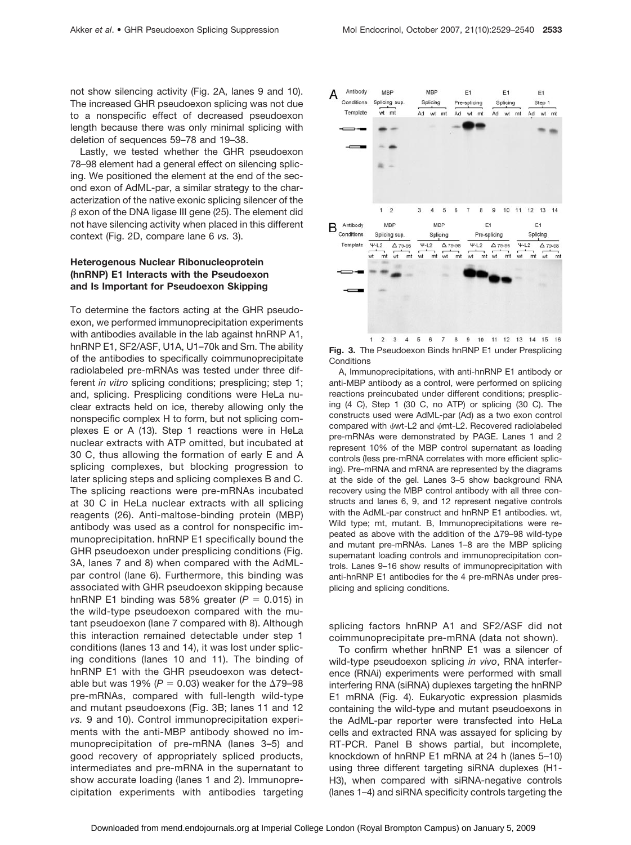not show silencing activity (Fig. 2A, lanes 9 and 10). The increased GHR pseudoexon splicing was not due to a nonspecific effect of decreased pseudoexon length because there was only minimal splicing with deletion of sequences 59–78 and 19–38.

Lastly, we tested whether the GHR pseudoexon 78–98 element had a general effect on silencing splicing. We positioned the element at the end of the second exon of AdML-par, a similar strategy to the characterization of the native exonic splicing silencer of the  $\beta$  exon of the DNA ligase III gene (25). The element did not have silencing activity when placed in this different context (Fig. 2D, compare lane 6 *vs.* 3).

# **Heterogenous Nuclear Ribonucleoprotein (hnRNP) E1 Interacts with the Pseudoexon and Is Important for Pseudoexon Skipping**

To determine the factors acting at the GHR pseudoexon, we performed immunoprecipitation experiments with antibodies available in the lab against hnRNP A1, hnRNP E1, SF2/ASF, U1A, U1–70k and Sm. The ability of the antibodies to specifically coimmunoprecipitate radiolabeled pre-mRNAs was tested under three different *in vitro* splicing conditions; presplicing; step 1; and, splicing. Presplicing conditions were HeLa nuclear extracts held on ice, thereby allowing only the nonspecific complex H to form, but not splicing complexes E or A (13). Step 1 reactions were in HeLa nuclear extracts with ATP omitted, but incubated at 30 C, thus allowing the formation of early E and A splicing complexes, but blocking progression to later splicing steps and splicing complexes B and C. The splicing reactions were pre-mRNAs incubated at 30 C in HeLa nuclear extracts with all splicing reagents (26). Anti-maltose-binding protein (MBP) antibody was used as a control for nonspecific immunoprecipitation. hnRNP E1 specifically bound the GHR pseudoexon under presplicing conditions (Fig. 3A, lanes 7 and 8) when compared with the AdMLpar control (lane 6). Furthermore, this binding was associated with GHR pseudoexon skipping because hnRNP E1 binding was 58% greater  $(P = 0.015)$  in the wild-type pseudoexon compared with the mutant pseudoexon (lane 7 compared with 8). Although this interaction remained detectable under step 1 conditions (lanes 13 and 14), it was lost under splicing conditions (lanes 10 and 11). The binding of hnRNP E1 with the GHR pseudoexon was detectable but was 19% ( $P = 0.03$ ) weaker for the  $\Delta 79 - 98$ pre-mRNAs, compared with full-length wild-type and mutant pseudoexons (Fig. 3B; lanes 11 and 12 *vs.* 9 and 10). Control immunoprecipitation experiments with the anti-MBP antibody showed no immunoprecipitation of pre-mRNA (lanes 3–5) and good recovery of appropriately spliced products, intermediates and pre-mRNA in the supernatant to show accurate loading (lanes 1 and 2). Immunoprecipitation experiments with antibodies targeting



**Fig. 3.** The Pseudoexon Binds hnRNP E1 under Presplicing **Conditions** 

A, Immunoprecipitations, with anti-hnRNP E1 antibody or anti-MBP antibody as a control, were performed on splicing reactions preincubated under different conditions; presplicing (4 C), Step 1 (30 C, no ATP) or splicing (30 C). The constructs used were AdML-par (Ad) as a two exon control compared with  $\psi$ wt-L2 and  $\psi$ mt-L2. Recovered radiolabeled pre-mRNAs were demonstrated by PAGE. Lanes 1 and 2 represent 10% of the MBP control supernatant as loading controls (less pre-mRNA correlates with more efficient splicing). Pre-mRNA and mRNA are represented by the diagrams at the side of the gel. Lanes 3–5 show background RNA recovery using the MBP control antibody with all three constructs and lanes 6, 9, and 12 represent negative controls with the AdML-par construct and hnRNP E1 antibodies. wt, Wild type; mt, mutant. B, Immunoprecipitations were repeated as above with the addition of the  $\Delta$ 79–98 wild-type and mutant pre-mRNAs. Lanes 1–8 are the MBP splicing supernatant loading controls and immunoprecipitation controls. Lanes 9–16 show results of immunoprecipitation with anti-hnRNP E1 antibodies for the 4 pre-mRNAs under presplicing and splicing conditions.

splicing factors hnRNP A1 and SF2/ASF did not coimmunoprecipitate pre-mRNA (data not shown).

To confirm whether hnRNP E1 was a silencer of wild-type pseudoexon splicing *in vivo*, RNA interference (RNAi) experiments were performed with small interfering RNA (siRNA) duplexes targeting the hnRNP E1 mRNA (Fig. 4). Eukaryotic expression plasmids containing the wild-type and mutant pseudoexons in the AdML-par reporter were transfected into HeLa cells and extracted RNA was assayed for splicing by RT-PCR. Panel B shows partial, but incomplete, knockdown of hnRNP E1 mRNA at 24 h (lanes 5–10) using three different targeting siRNA duplexes (H1- H3), when compared with siRNA-negative controls (lanes 1–4) and siRNA specificity controls targeting the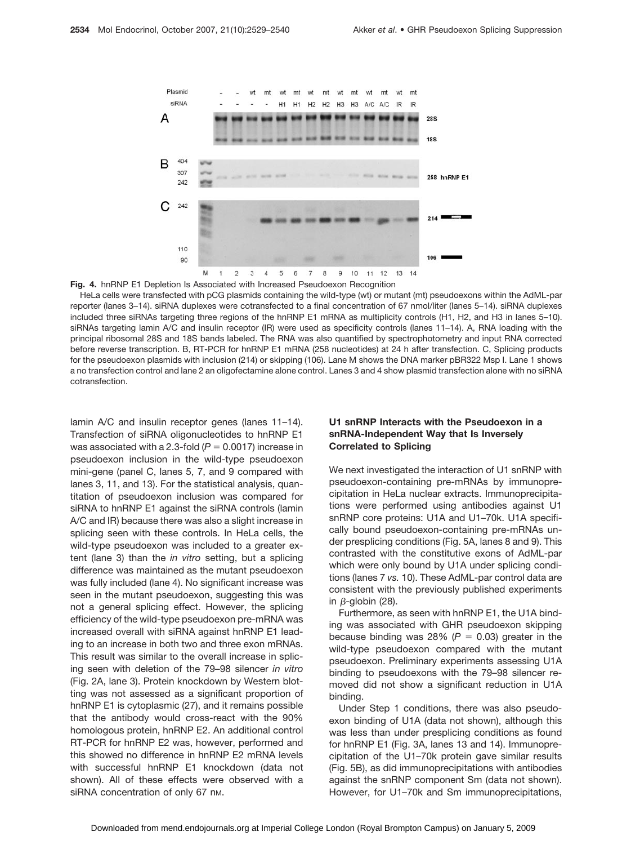

**Fig. 4.** hnRNP E1 Depletion Is Associated with Increased Pseudoexon Recognition

HeLa cells were transfected with pCG plasmids containing the wild-type (wt) or mutant (mt) pseudoexons within the AdML-par reporter (lanes 3–14). siRNA duplexes were cotransfected to a final concentration of 67 nmol/liter (lanes 5–14). siRNA duplexes included three siRNAs targeting three regions of the hnRNP E1 mRNA as multiplicity controls (H1, H2, and H3 in lanes 5–10). siRNAs targeting lamin A/C and insulin receptor (IR) were used as specificity controls (lanes 11–14). A, RNA loading with the principal ribosomal 28S and 18S bands labeled. The RNA was also quantified by spectrophotometry and input RNA corrected before reverse transcription. B, RT-PCR for hnRNP E1 mRNA (258 nucleotides) at 24 h after transfection. C, Splicing products for the pseudoexon plasmids with inclusion (214) or skipping (106). Lane M shows the DNA marker pBR322 Msp I. Lane 1 shows a no transfection control and lane 2 an oligofectamine alone control. Lanes 3 and 4 show plasmid transfection alone with no siRNA cotransfection.

lamin A/C and insulin receptor genes (lanes 11–14). Transfection of siRNA oligonucleotides to hnRNP E1 was associated with a 2.3-fold  $(P = 0.0017)$  increase in pseudoexon inclusion in the wild-type pseudoexon mini-gene (panel C, lanes 5, 7, and 9 compared with lanes 3, 11, and 13). For the statistical analysis, quantitation of pseudoexon inclusion was compared for siRNA to hnRNP E1 against the siRNA controls (lamin A/C and IR) because there was also a slight increase in splicing seen with these controls. In HeLa cells, the wild-type pseudoexon was included to a greater extent (lane 3) than the *in vitro* setting, but a splicing difference was maintained as the mutant pseudoexon was fully included (lane 4). No significant increase was seen in the mutant pseudoexon, suggesting this was not a general splicing effect. However, the splicing efficiency of the wild-type pseudoexon pre-mRNA was increased overall with siRNA against hnRNP E1 leading to an increase in both two and three exon mRNAs. This result was similar to the overall increase in splicing seen with deletion of the 79–98 silencer *in vitro* (Fig. 2A, lane 3). Protein knockdown by Western blotting was not assessed as a significant proportion of hnRNP E1 is cytoplasmic (27), and it remains possible that the antibody would cross-react with the 90% homologous protein, hnRNP E2. An additional control RT-PCR for hnRNP E2 was, however, performed and this showed no difference in hnRNP E2 mRNA levels with successful hnRNP E1 knockdown (data not shown). All of these effects were observed with a siRNA concentration of only 67 nm.

# **U1 snRNP Interacts with the Pseudoexon in a snRNA-Independent Way that Is Inversely Correlated to Splicing**

We next investigated the interaction of U1 snRNP with pseudoexon-containing pre-mRNAs by immunoprecipitation in HeLa nuclear extracts. Immunoprecipitations were performed using antibodies against U1 snRNP core proteins: U1A and U1–70k. U1A specifically bound pseudoexon-containing pre-mRNAs under presplicing conditions (Fig. 5A, lanes 8 and 9). This contrasted with the constitutive exons of AdML-par which were only bound by U1A under splicing conditions (lanes 7 *vs.* 10). These AdML-par control data are consistent with the previously published experiments in  $\beta$ -globin (28).

Furthermore, as seen with hnRNP E1, the U1A binding was associated with GHR pseudoexon skipping because binding was 28% ( $P = 0.03$ ) greater in the wild-type pseudoexon compared with the mutant pseudoexon. Preliminary experiments assessing U1A binding to pseudoexons with the 79–98 silencer removed did not show a significant reduction in U1A binding.

Under Step 1 conditions, there was also pseudoexon binding of U1A (data not shown), although this was less than under presplicing conditions as found for hnRNP E1 (Fig. 3A, lanes 13 and 14). Immunoprecipitation of the U1–70k protein gave similar results (Fig. 5B), as did immunoprecipitations with antibodies against the snRNP component Sm (data not shown). However, for U1–70k and Sm immunoprecipitations,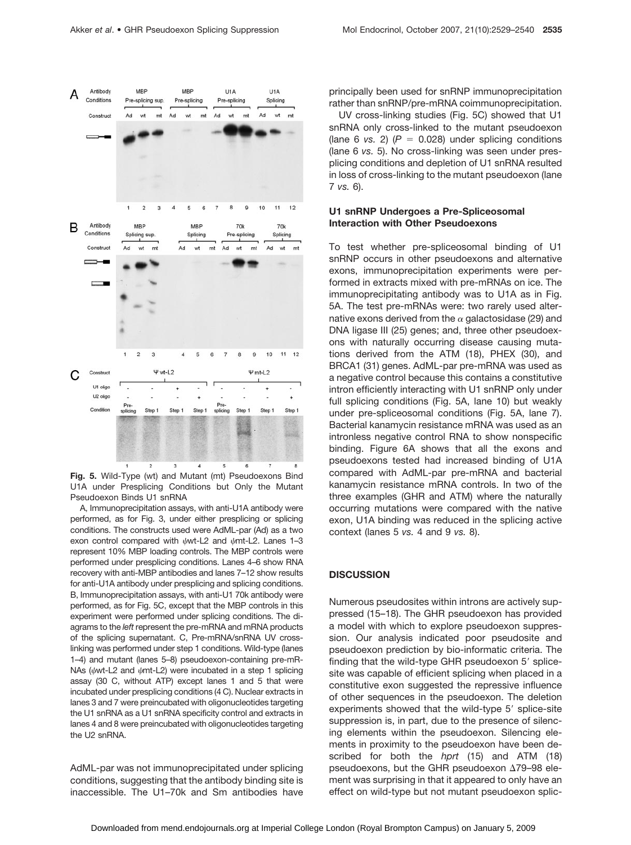

**Fig. 5.** Wild-Type (wt) and Mutant (mt) Pseudoexons Bind U1A under Presplicing Conditions but Only the Mutant Pseudoexon Binds U1 snRNA

A, Immunoprecipitation assays, with anti-U1A antibody were performed, as for Fig. 3, under either presplicing or splicing conditions. The constructs used were AdML-par (Ad) as a two exon control compared with  $\psi$ wt-L2 and  $\psi$ mt-L2. Lanes 1–3 represent 10% MBP loading controls. The MBP controls were performed under presplicing conditions. Lanes 4–6 show RNA recovery with anti-MBP antibodies and lanes 7–12 show results for anti-U1A antibody under presplicing and splicing conditions. B, Immunoprecipitation assays, with anti-U1 70k antibody were performed, as for Fig. 5C, except that the MBP controls in this experiment were performed under splicing conditions. The diagrams to the *left* represent the pre-mRNA and mRNA products of the splicing supernatant. C, Pre-mRNA/snRNA UV crosslinking was performed under step 1 conditions. Wild-type (lanes 1–4) and mutant (lanes 5–8) pseudoexon-containing pre-mR-NAs ( $\psi$ wt-L2 and  $\psi$ mt-L2) were incubated in a step 1 splicing assay (30 C, without ATP) except lanes 1 and 5 that were incubated under presplicing conditions (4 C). Nuclear extracts in lanes 3 and 7 were preincubated with oligonucleotides targeting the U1 snRNA as a U1 snRNA specificity control and extracts in lanes 4 and 8 were preincubated with oligonucleotides targeting the U2 snRNA.

AdML-par was not immunoprecipitated under splicing conditions, suggesting that the antibody binding site is inaccessible. The U1–70k and Sm antibodies have principally been used for snRNP immunoprecipitation rather than snRNP/pre-mRNA coimmunoprecipitation.

UV cross-linking studies (Fig. 5C) showed that U1 snRNA only cross-linked to the mutant pseudoexon (lane 6 *vs.* 2) ( $P = 0.028$ ) under splicing conditions (lane 6 *vs.* 5). No cross-linking was seen under presplicing conditions and depletion of U1 snRNA resulted in loss of cross-linking to the mutant pseudoexon (lane 7 *vs.* 6).

# **U1 snRNP Undergoes a Pre-Spliceosomal Interaction with Other Pseudoexons**

To test whether pre-spliceosomal binding of U1 snRNP occurs in other pseudoexons and alternative exons, immunoprecipitation experiments were performed in extracts mixed with pre-mRNAs on ice. The immunoprecipitating antibody was to U1A as in Fig. 5A. The test pre-mRNAs were: two rarely used alternative exons derived from the  $\alpha$  galactosidase (29) and DNA ligase III (25) genes; and, three other pseudoexons with naturally occurring disease causing mutations derived from the ATM (18), PHEX (30), and BRCA1 (31) genes. AdML-par pre-mRNA was used as a negative control because this contains a constitutive intron efficiently interacting with U1 snRNP only under full splicing conditions (Fig. 5A, lane 10) but weakly under pre-spliceosomal conditions (Fig. 5A, lane 7). Bacterial kanamycin resistance mRNA was used as an intronless negative control RNA to show nonspecific binding. Figure 6A shows that all the exons and pseudoexons tested had increased binding of U1A compared with AdML-par pre-mRNA and bacterial kanamycin resistance mRNA controls. In two of the three examples (GHR and ATM) where the naturally occurring mutations were compared with the native exon, U1A binding was reduced in the splicing active context (lanes 5 *vs.* 4 and 9 *vs.* 8).

## **DISCUSSION**

Numerous pseudosites within introns are actively suppressed (15–18). The GHR pseudoexon has provided a model with which to explore pseudoexon suppression. Our analysis indicated poor pseudosite and pseudoexon prediction by bio-informatic criteria. The finding that the wild-type GHR pseudoexon 5' splicesite was capable of efficient splicing when placed in a constitutive exon suggested the repressive influence of other sequences in the pseudoexon. The deletion experiments showed that the wild-type 5' splice-site suppression is, in part, due to the presence of silencing elements within the pseudoexon. Silencing elements in proximity to the pseudoexon have been described for both the *hprt* (15) and ATM (18) pseudoexons, but the GHR pseudoexon  $\Delta$ 79–98 element was surprising in that it appeared to only have an effect on wild-type but not mutant pseudoexon splic-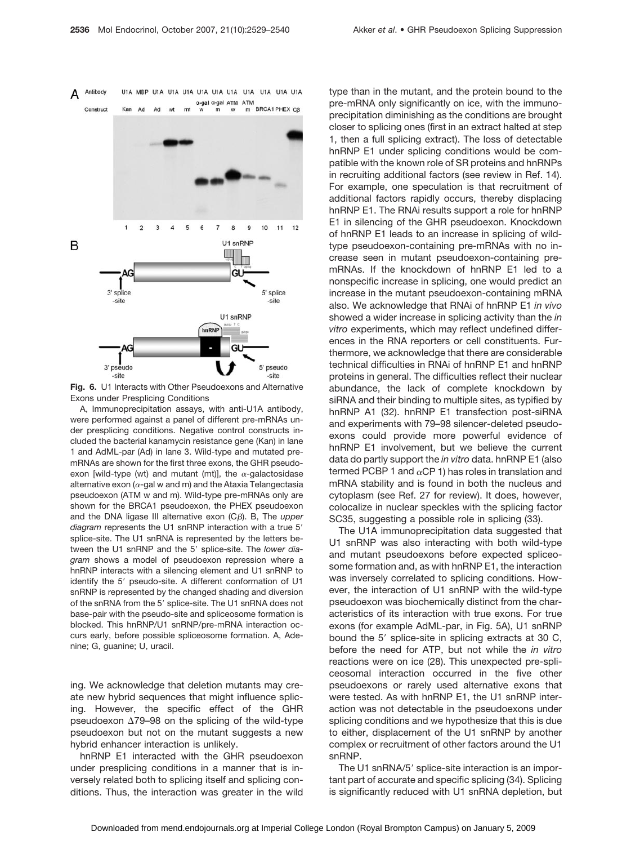

**Fig. 6.** U1 Interacts with Other Pseudoexons and Alternative Exons under Presplicing Conditions

A, Immunoprecipitation assays, with anti-U1A antibody, were performed against a panel of different pre-mRNAs under presplicing conditions. Negative control constructs included the bacterial kanamycin resistance gene (Kan) in lane 1 and AdML-par (Ad) in lane 3. Wild-type and mutated premRNAs are shown for the first three exons, the GHR pseudoexon [wild-type (wt) and mutant (mt)], the  $\alpha$ -galactosidase alternative exon ( $\alpha$ -gal w and m) and the Ataxia Telangectasia pseudoexon (ATM w and m). Wild-type pre-mRNAs only are shown for the BRCA1 pseudoexon, the PHEX pseudoexon and the DNA ligase III alternative exon (Cβ). B, The *upper* diagram represents the U1 snRNP interaction with a true 5' splice-site. The U1 snRNA is represented by the letters between the U1 snRNP and the 5' splice-site. The lower dia*gram* shows a model of pseudoexon repression where a hnRNP interacts with a silencing element and U1 snRNP to identify the 5' pseudo-site. A different conformation of U1 snRNP is represented by the changed shading and diversion of the snRNA from the 5' splice-site. The U1 snRNA does not base-pair with the pseudo-site and spliceosome formation is blocked. This hnRNP/U1 snRNP/pre-mRNA interaction occurs early, before possible spliceosome formation. A, Adenine; G, guanine; U, uracil.

ing. We acknowledge that deletion mutants may create new hybrid sequences that might influence splicing. However, the specific effect of the GHR pseudoexon  $\Delta$ 79–98 on the splicing of the wild-type pseudoexon but not on the mutant suggests a new hybrid enhancer interaction is unlikely.

hnRNP E1 interacted with the GHR pseudoexon under presplicing conditions in a manner that is inversely related both to splicing itself and splicing conditions. Thus, the interaction was greater in the wild type than in the mutant, and the protein bound to the pre-mRNA only significantly on ice, with the immunoprecipitation diminishing as the conditions are brought closer to splicing ones (first in an extract halted at step 1, then a full splicing extract). The loss of detectable hnRNP E1 under splicing conditions would be compatible with the known role of SR proteins and hnRNPs in recruiting additional factors (see review in Ref. 14). For example, one speculation is that recruitment of additional factors rapidly occurs, thereby displacing hnRNP E1. The RNAi results support a role for hnRNP E1 in silencing of the GHR pseudoexon. Knockdown of hnRNP E1 leads to an increase in splicing of wildtype pseudoexon-containing pre-mRNAs with no increase seen in mutant pseudoexon-containing premRNAs. If the knockdown of hnRNP E1 led to a nonspecific increase in splicing, one would predict an increase in the mutant pseudoexon-containing mRNA also. We acknowledge that RNAi of hnRNP E1 *in vivo* showed a wider increase in splicing activity than the *in vitro* experiments, which may reflect undefined differences in the RNA reporters or cell constituents. Furthermore, we acknowledge that there are considerable technical difficulties in RNAi of hnRNP E1 and hnRNP proteins in general. The difficulties reflect their nuclear abundance, the lack of complete knockdown by siRNA and their binding to multiple sites, as typified by hnRNP A1 (32). hnRNP E1 transfection post-siRNA and experiments with 79–98 silencer-deleted pseudoexons could provide more powerful evidence of hnRNP E1 involvement, but we believe the current data do partly support the *in vitro* data. hnRNP E1 (also termed PCBP 1 and  $\alpha$ CP 1) has roles in translation and mRNA stability and is found in both the nucleus and cytoplasm (see Ref. 27 for review). It does, however, colocalize in nuclear speckles with the splicing factor SC35, suggesting a possible role in splicing (33).

The U1A immunoprecipitation data suggested that U1 snRNP was also interacting with both wild-type and mutant pseudoexons before expected spliceosome formation and, as with hnRNP E1, the interaction was inversely correlated to splicing conditions. However, the interaction of U1 snRNP with the wild-type pseudoexon was biochemically distinct from the characteristics of its interaction with true exons. For true exons (for example AdML-par, in Fig. 5A), U1 snRNP bound the 5' splice-site in splicing extracts at 30 C, before the need for ATP, but not while the *in vitro* reactions were on ice (28). This unexpected pre-spliceosomal interaction occurred in the five other pseudoexons or rarely used alternative exons that were tested. As with hnRNP E1, the U1 snRNP interaction was not detectable in the pseudoexons under splicing conditions and we hypothesize that this is due to either, displacement of the U1 snRNP by another complex or recruitment of other factors around the U1 snRNP.

The U1 snRNA/5' splice-site interaction is an important part of accurate and specific splicing (34). Splicing is significantly reduced with U1 snRNA depletion, but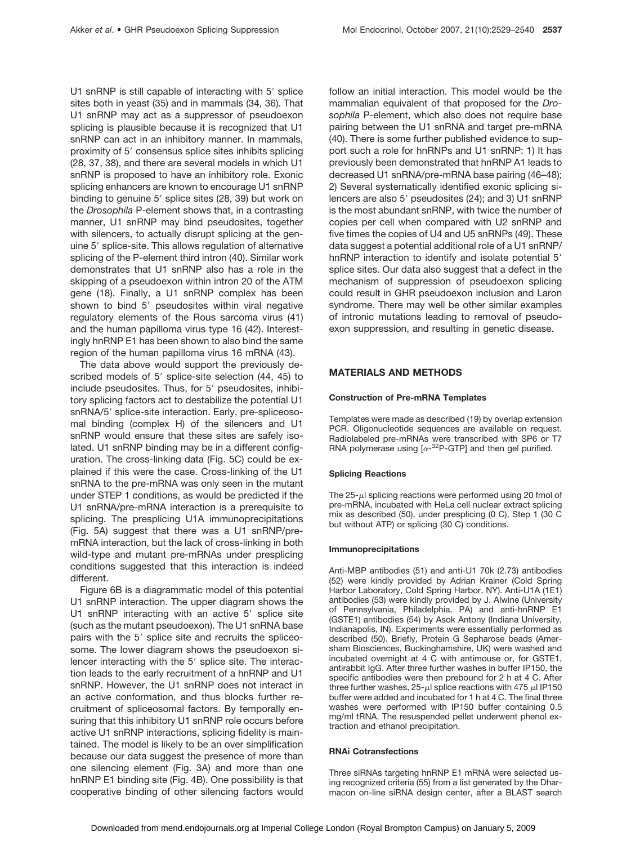U1 snRNP is still capable of interacting with 5' splice sites both in yeast (35) and in mammals (34, 36). That U1 snRNP may act as a suppressor of pseudoexon splicing is plausible because it is recognized that U1 snRNP can act in an inhibitory manner. In mammals, proximity of 5' consensus splice sites inhibits splicing (28, 37, 38), and there are several models in which U1 snRNP is proposed to have an inhibitory role. Exonic splicing enhancers are known to encourage U1 snRNP binding to genuine 5' splice sites (28, 39) but work on the *Drosophila* P-element shows that, in a contrasting manner, U1 snRNP may bind pseudosites, together with silencers, to actually disrupt splicing at the genuine 5' splice-site. This allows regulation of alternative splicing of the P-element third intron (40). Similar work demonstrates that U1 snRNP also has a role in the skipping of a pseudoexon within intron 20 of the ATM gene (18). Finally, a U1 snRNP complex has been shown to bind 5' pseudosites within viral negative regulatory elements of the Rous sarcoma virus (41) and the human papilloma virus type 16 (42). Interestingly hnRNP E1 has been shown to also bind the same region of the human papilloma virus 16 mRNA (43).

The data above would support the previously described models of 5' splice-site selection (44, 45) to include pseudosites. Thus, for 5' pseudosites, inhibitory splicing factors act to destabilize the potential U1 snRNA/5' splice-site interaction. Early, pre-spliceosomal binding (complex H) of the silencers and U1 snRNP would ensure that these sites are safely isolated. U1 snRNP binding may be in a different configuration. The cross-linking data (Fig. 5C) could be explained if this were the case. Cross-linking of the U1 snRNA to the pre-mRNA was only seen in the mutant under STEP 1 conditions, as would be predicted if the U1 snRNA/pre-mRNA interaction is a prerequisite to splicing. The presplicing U1A immunoprecipitations (Fig. 5A) suggest that there was a U1 snRNP/premRNA interaction, but the lack of cross-linking in both wild-type and mutant pre-mRNAs under presplicing conditions suggested that this interaction is indeed different.

Figure 6B is a diagrammatic model of this potential U1 snRNP interaction. The upper diagram shows the U1 snRNP interacting with an active 5' splice site (such as the mutant pseudoexon). The U1 snRNA base pairs with the 5' splice site and recruits the spliceosome. The lower diagram shows the pseudoexon silencer interacting with the 5' splice site. The interaction leads to the early recruitment of a hnRNP and U1 snRNP. However, the U1 snRNP does not interact in an active conformation, and thus blocks further recruitment of spliceosomal factors. By temporally ensuring that this inhibitory U1 snRNP role occurs before active U1 snRNP interactions, splicing fidelity is maintained. The model is likely to be an over simplification because our data suggest the presence of more than one silencing element (Fig. 3A) and more than one hnRNP E1 binding site (Fig. 4B). One possibility is that cooperative binding of other silencing factors would follow an initial interaction. This model would be the mammalian equivalent of that proposed for the *Drosophila* P-element, which also does not require base pairing between the U1 snRNA and target pre-mRNA (40). There is some further published evidence to support such a role for hnRNPs and U1 snRNP: 1) It has previously been demonstrated that hnRNP A1 leads to decreased U1 snRNA/pre-mRNA base pairing (46–48); 2) Several systematically identified exonic splicing silencers are also 5' pseudosites (24); and 3) U1 snRNP is the most abundant snRNP, with twice the number of copies per cell when compared with U2 snRNP and five times the copies of U4 and U5 snRNPs (49). These data suggest a potential additional role of a U1 snRNP/ hnRNP interaction to identify and isolate potential 5' splice sites. Our data also suggest that a defect in the mechanism of suppression of pseudoexon splicing could result in GHR pseudoexon inclusion and Laron syndrome. There may well be other similar examples of intronic mutations leading to removal of pseudoexon suppression, and resulting in genetic disease.

### **MATERIALS AND METHODS**

#### **Construction of Pre-mRNA Templates**

Templates were made as described (19) by overlap extension PCR. Oligonucleotide sequences are available on request. Radiolabeled pre-mRNAs were transcribed with SP6 or T7 RNA polymerase using  $[\alpha^{-32}P$ -GTP] and then gel purified.

#### **Splicing Reactions**

The  $25-\mu l$  splicing reactions were performed using 20 fmol of pre-mRNA, incubated with HeLa cell nuclear extract splicing mix as described (50), under presplicing (0 C), Step 1 (30 C but without ATP) or splicing (30 C) conditions.

#### **Immunoprecipitations**

Anti-MBP antibodies (51) and anti-U1 70k (2.73) antibodies (52) were kindly provided by Adrian Krainer (Cold Spring Harbor Laboratory, Cold Spring Harbor, NY). Anti-U1A (1E1) antibodies (53) were kindly provided by J. Alwine (University of Pennsylvania, Philadelphia, PA) and anti-hnRNP E1 (GSTE1) antibodies (54) by Asok Antony (Indiana University, Indianapolis, IN). Experiments were essentially performed as described (50). Briefly, Protein G Sepharose beads (Amersham Biosciences, Buckinghamshire, UK) were washed and incubated overnight at 4 C with antimouse or, for GSTE1, antirabbit IgG. After three further washes in buffer IP150, the specific antibodies were then prebound for 2 h at 4 C. After three further washes,  $25-\mu$  splice reactions with 475  $\mu$  IP150 buffer were added and incubated for 1 h at 4 C. The final three washes were performed with IP150 buffer containing 0.5 mg/ml tRNA. The resuspended pellet underwent phenol extraction and ethanol precipitation.

#### **RNAi Cotransfections**

Three siRNAs targeting hnRNP E1 mRNA were selected using recognized criteria (55) from a list generated by the Dharmacon on-line siRNA design center, after a BLAST search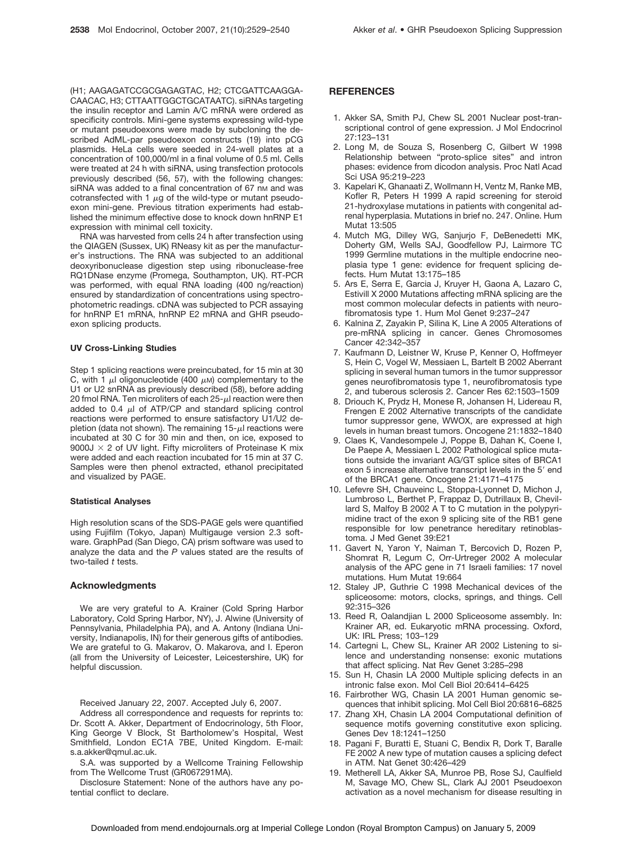(H1; AAGAGATCCGCGAGAGTAC, H2; CTCGATTCAAGGA-CAACAC, H3; CTTAATTGGCTGCATAATC). siRNAs targeting the insulin receptor and Lamin A/C mRNA were ordered as specificity controls. Mini-gene systems expressing wild-type or mutant pseudoexons were made by subcloning the described AdML-par pseudoexon constructs (19) into pCG plasmids. HeLa cells were seeded in 24-well plates at a concentration of 100,000/ml in a final volume of 0.5 ml. Cells were treated at 24 h with siRNA, using transfection protocols previously described (56, 57), with the following changes: siRNA was added to a final concentration of 67 nm and was cotransfected with 1  $\mu$ g of the wild-type or mutant pseudoexon mini-gene. Previous titration experiments had established the minimum effective dose to knock down hnRNP E1 expression with minimal cell toxicity.

RNA was harvested from cells 24 h after transfection using the QIAGEN (Sussex, UK) RNeasy kit as per the manufacturer's instructions. The RNA was subjected to an additional deoxyribonuclease digestion step using ribonuclease-free RQ1DNase enzyme (Promega, Southampton, UK). RT-PCR was performed, with equal RNA loading (400 ng/reaction) ensured by standardization of concentrations using spectrophotometric readings. cDNA was subjected to PCR assaying for hnRNP E1 mRNA, hnRNP E2 mRNA and GHR pseudoexon splicing products.

#### **UV Cross-Linking Studies**

Step 1 splicing reactions were preincubated, for 15 min at 30 C, with 1  $\mu$  oligonucleotide (400  $\mu$ M) complementary to the U1 or U2 snRNA as previously described (58), before adding 20 fmol RNA. Ten microliters of each  $25$ - $\mu$ l reaction were then added to 0.4  $\mu$ l of ATP/CP and standard splicing control reactions were performed to ensure satisfactory U1/U2 depletion (data not shown). The remaining  $15-\mu l$  reactions were incubated at 30 C for 30 min and then, on ice, exposed to 9000J  $\times$  2 of UV light. Fifty microliters of Proteinase K mix were added and each reaction incubated for 15 min at 37 C. Samples were then phenol extracted, ethanol precipitated and visualized by PAGE.

#### **Statistical Analyses**

High resolution scans of the SDS-PAGE gels were quantified using Fujifilm (Tokyo, Japan) Multigauge version 2.3 software. GraphPad (San Diego, CA) prism software was used to analyze the data and the *P* values stated are the results of two-tailed *t* tests.

#### **Acknowledgments**

We are very grateful to A. Krainer (Cold Spring Harbor Laboratory, Cold Spring Harbor, NY), J. Alwine (University of Pennsylvania, Philadelphia PA), and A. Antony (Indiana University, Indianapolis, IN) for their generous gifts of antibodies. We are grateful to G. Makarov, O. Makarova, and I. Eperon (all from the University of Leicester, Leicestershire, UK) for helpful discussion.

Received January 22, 2007. Accepted July 6, 2007.

Address all correspondence and requests for reprints to: Dr. Scott A. Akker, Department of Endocrinology, 5th Floor, King George V Block, St Bartholomew's Hospital, West Smithfield, London EC1A 7BE, United Kingdom. E-mail: s.a.akker@qmul.ac.uk.

S.A. was supported by a Wellcome Training Fellowship from The Wellcome Trust (GR067291MA).

Disclosure Statement: None of the authors have any potential conflict to declare.

## **REFERENCES**

- 1. Akker SA, Smith PJ, Chew SL 2001 Nuclear post-transcriptional control of gene expression. J Mol Endocrinol 27:123–131
- 2. Long M, de Souza S, Rosenberg C, Gilbert W 1998 Relationship between "proto-splice sites" and intron phases: evidence from dicodon analysis. Proc Natl Acad Sci USA 95:219–223
- 3. Kapelari K, Ghanaati Z, Wollmann H, Ventz M, Ranke MB, Kofler R, Peters H 1999 A rapid screening for steroid 21-hydroxylase mutations in patients with congenital adrenal hyperplasia. Mutations in brief no. 247. Online. Hum Mutat 13:505
- 4. Mutch MG, Dilley WG, Sanjurjo F, DeBenedetti MK, Doherty GM, Wells SAJ, Goodfellow PJ, Lairmore TC 1999 Germline mutations in the multiple endocrine neoplasia type 1 gene: evidence for frequent splicing defects. Hum Mutat 13:175–185
- 5. Ars E, Serra E, Garcia J, Kruyer H, Gaona A, Lazaro C, Estivill X 2000 Mutations affecting mRNA splicing are the most common molecular defects in patients with neurofibromatosis type 1. Hum Mol Genet 9:237–247
- 6. Kalnina Z, Zayakin P, Silina K, Line A 2005 Alterations of pre-mRNA splicing in cancer. Genes Chromosomes Cancer 42:342–357
- 7. Kaufmann D, Leistner W, Kruse P, Kenner O, Hoffmeyer S, Hein C, Vogel W, Messiaen L, Bartelt B 2002 Aberrant splicing in several human tumors in the tumor suppressor genes neurofibromatosis type 1, neurofibromatosis type 2, and tuberous sclerosis 2. Cancer Res 62:1503–1509
- 8. Driouch K, Prydz H, Monese R, Johansen H, Lidereau R, Frengen E 2002 Alternative transcripts of the candidate tumor suppressor gene, WWOX, are expressed at high levels in human breast tumors. Oncogene 21:1832–1840
- 9. Claes K, Vandesompele J, Poppe B, Dahan K, Coene I, De Paepe A, Messiaen L 2002 Pathological splice mutations outside the invariant AG/GT splice sites of BRCA1 exon 5 increase alternative transcript levels in the 5' end of the BRCA1 gene. Oncogene 21:4171–4175
- 10. Lefevre SH, Chauveinc L, Stoppa-Lyonnet D, Michon J, Lumbroso L, Berthet P, Frappaz D, Dutrillaux B, Chevillard S, Malfoy B 2002 A T to C mutation in the polypyrimidine tract of the exon 9 splicing site of the RB1 gene responsible for low penetrance hereditary retinoblastoma. J Med Genet 39:E21
- 11. Gavert N, Yaron Y, Naiman T, Bercovich D, Rozen P, Shomrat R, Legum C, Orr-Urtreger 2002 A molecular analysis of the APC gene in 71 Israeli families: 17 novel mutations. Hum Mutat 19:664
- 12. Staley JP, Guthrie C 1998 Mechanical devices of the spliceosome: motors, clocks, springs, and things. Cell 92:315–326
- 13. Reed R, Oalandjian L 2000 Spliceosome assembly. In: Krainer AR, ed. Eukaryotic mRNA processing. Oxford, UK: IRL Press; 103–129
- 14. Cartegni L, Chew SL, Krainer AR 2002 Listening to silence and understanding nonsense: exonic mutations that affect splicing. Nat Rev Genet 3:285–298
- 15. Sun H, Chasin LA 2000 Multiple splicing defects in an intronic false exon. Mol Cell Biol 20:6414–6425
- 16. Fairbrother WG, Chasin LA 2001 Human genomic sequences that inhibit splicing. Mol Cell Biol 20:6816–6825
- 17. Zhang XH, Chasin LA 2004 Computational definition of sequence motifs governing constitutive exon splicing. Genes Dev 18:1241–1250
- 18. Pagani F, Buratti E, Stuani C, Bendix R, Dork T, Baralle FE 2002 A new type of mutation causes a splicing defect in ATM. Nat Genet 30:426–429
- 19. Metherell LA, Akker SA, Munroe PB, Rose SJ, Caulfield M, Savage MO, Chew SL, Clark AJ 2001 Pseudoexon activation as a novel mechanism for disease resulting in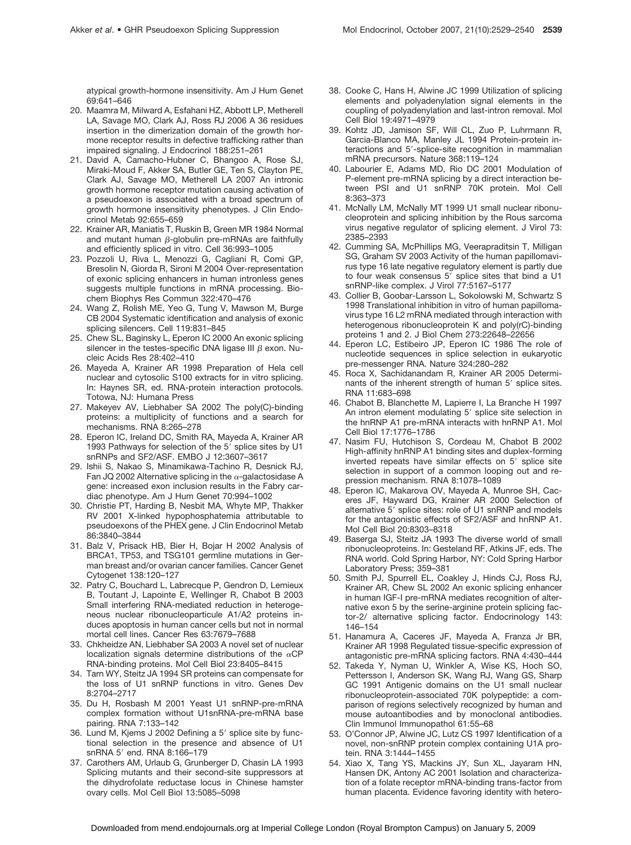atypical growth-hormone insensitivity. Am J Hum Genet 69:641–646

- 20. Maamra M, Milward A, Esfahani HZ, Abbott LP, Metherell LA, Savage MO, Clark AJ, Ross RJ 2006 A 36 residues insertion in the dimerization domain of the growth hormone receptor results in defective trafficking rather than impaired signaling. J Endocrinol 188:251–261
- 21. David A, Camacho-Hubner C, Bhangoo A, Rose SJ, Miraki-Moud F, Akker SA, Butler GE, Ten S, Clayton PE, Clark AJ, Savage MO, Metherell LA 2007 An intronic growth hormone receptor mutation causing activation of a pseudoexon is associated with a broad spectrum of growth hormone insensitivity phenotypes. J Clin Endocrinol Metab 92:655–659
- 22. Krainer AR, Maniatis T, Ruskin B, Green MR 1984 Normal and mutant human  $\beta$ -globulin pre-mRNAs are faithfully and efficiently spliced in vitro. Cell 36:993–1005
- 23. Pozzoli U, Riva L, Menozzi G, Cagliani R, Comi GP, Bresolin N, Giorda R, Sironi M 2004 Over-representation of exonic splicing enhancers in human intronless genes suggests multiple functions in mRNA processing. Biochem Biophys Res Commun 322:470–476
- 24. Wang Z, Rolish ME, Yeo G, Tung V, Mawson M, Burge CB 2004 Systematic identification and analysis of exonic splicing silencers. Cell 119:831–845
- 25. Chew SL, Baginsky L, Eperon IC 2000 An exonic splicing silencer in the testes-specific DNA ligase III  $\beta$  exon. Nucleic Acids Res 28:402–410
- 26. Mayeda A, Krainer AR 1998 Preparation of Hela cell nuclear and cytosolic S100 extracts for in vitro splicing. In: Haynes SR, ed. RNA-protein interaction protocols. Totowa, NJ: Humana Press
- 27. Makeyev AV, Liebhaber SA 2002 The poly(C)-binding proteins: a multiplicity of functions and a search for mechanisms. RNA 8:265–278
- 28. Eperon IC, Ireland DC, Smith RA, Mayeda A, Krainer AR 1993 Pathways for selection of the 5' splice sites by U1 snRNPs and SF2/ASF. EMBO J 12:3607–3617
- 29. Ishii S, Nakao S, Minamikawa-Tachino R, Desnick RJ, Fan JQ 2002 Alternative splicing in the  $\alpha$ -galactosidase A gene: increased exon inclusion results in the Fabry cardiac phenotype. Am J Hum Genet 70:994–1002
- 30. Christie PT, Harding B, Nesbit MA, Whyte MP, Thakker RV 2001 X-linked hypophosphatemia attributable to pseudoexons of the PHEX gene. J Clin Endocrinol Metab 86:3840–3844
- 31. Balz V, Prisack HB, Bier H, Bojar H 2002 Analysis of BRCA1, TP53, and TSG101 germline mutations in German breast and/or ovarian cancer families. Cancer Genet Cytogenet 138:120–127
- 32. Patry C, Bouchard L, Labrecque P, Gendron D, Lemieux B, Toutant J, Lapointe E, Wellinger R, Chabot B 2003 Small interfering RNA-mediated reduction in heterogeneous nuclear ribonucleoparticule A1/A2 proteins induces apoptosis in human cancer cells but not in normal mortal cell lines. Cancer Res 63:7679–7688
- 33. Chkheidze AN, Liebhaber SA 2003 A novel set of nuclear localization signals determine distributions of the  $\alpha$ CP RNA-binding proteins. Mol Cell Biol 23:8405–8415
- 34. Tarn WY, Steitz JA 1994 SR proteins can compensate for the loss of U1 snRNP functions in vitro. Genes Dev 8:2704–2717
- 35. Du H, Rosbash M 2001 Yeast U1 snRNP-pre-mRNA complex formation without U1snRNA-pre-mRNA base pairing. RNA 7:133–142
- 36. Lund M, Kjems J 2002 Defining a 5' splice site by functional selection in the presence and absence of U1 snRNA 5′ end. RNA 8:166–179
- 37. Carothers AM, Urlaub G, Grunberger D, Chasin LA 1993 Splicing mutants and their second-site suppressors at the dihydrofolate reductase locus in Chinese hamster ovary cells. Mol Cell Biol 13:5085–5098
- 38. Cooke C, Hans H, Alwine JC 1999 Utilization of splicing elements and polyadenylation signal elements in the coupling of polyadenylation and last-intron removal. Mol Cell Biol 19:4971–4979
- 39. Kohtz JD, Jamison SF, Will CL, Zuo P, Luhrmann R, Garcia-Blanco MA, Manley JL 1994 Protein-protein interactions and 5'-splice-site recognition in mammalian mRNA precursors. Nature 368:119–124
- 40. Labourier E, Adams MD, Rio DC 2001 Modulation of P-element pre-mRNA splicing by a direct interaction between PSI and U1 snRNP 70K protein. Mol Cell 8:363–373
- 41. McNally LM, McNally MT 1999 U1 small nuclear ribonucleoprotein and splicing inhibition by the Rous sarcoma virus negative regulator of splicing element. J Virol 73: 2385–2393
- 42. Cumming SA, McPhillips MG, Veerapraditsin T, Milligan SG, Graham SV 2003 Activity of the human papillomavirus type 16 late negative regulatory element is partly due to four weak consensus 5' splice sites that bind a U1 snRNP-like complex. J Virol 77:5167–5177
- 43. Collier B, Goobar-Larsson L, Sokolowski M, Schwartz S 1998 Translational inhibition in vitro of human papillomavirus type 16 L2 mRNA mediated through interaction with heterogenous ribonucleoprotein K and poly(rC)-binding proteins 1 and 2. J Biol Chem 273:22648–22656
- 44. Eperon LC, Estibeiro JP, Eperon IC 1986 The role of nucleotide sequences in splice selection in eukaryotic pre-messenger RNA. Nature 324:280–282
- 45. Roca X, Sachidanandam R, Krainer AR 2005 Determinants of the inherent strength of human 5' splice sites. RNA 11:683–698
- 46. Chabot B, Blanchette M, Lapierre I, La Branche H 1997 An intron element modulating 5' splice site selection in the hnRNP A1 pre-mRNA interacts with hnRNP A1. Mol Cell Biol 17:1776–1786
- 47. Nasim FU, Hutchison S, Cordeau M, Chabot B 2002 High-affinity hnRNP A1 binding sites and duplex-forming inverted repeats have similar effects on 5' splice site selection in support of a common looping out and repression mechanism. RNA 8:1078–1089
- 48. Eperon IC, Makarova OV, Mayeda A, Munroe SH, Caceres JF, Hayward DG, Krainer AR 2000 Selection of alternative 5' splice sites: role of U1 snRNP and models for the antagonistic effects of SF2/ASF and hnRNP A1. Mol Cell Biol 20:8303–8318
- 49. Baserga SJ, Steitz JA 1993 The diverse world of small ribonucleoproteins. In: Gesteland RF, Atkins JF, eds. The RNA world. Cold Spring Harbor, NY: Cold Spring Harbor Laboratory Press; 359–381
- 50. Smith PJ, Spurrell EL, Coakley J, Hinds CJ, Ross RJ, Krainer AR, Chew SL 2002 An exonic splicing enhancer in human IGF-I pre-mRNA mediates recognition of alternative exon 5 by the serine-arginine protein splicing factor-2/ alternative splicing factor. Endocrinology 143: 146–154
- 51. Hanamura A, Caceres JF, Mayeda A, Franza Jr BR, Krainer AR 1998 Regulated tissue-specific expression of antagonistic pre-mRNA splicing factors. RNA 4:430–444
- 52. Takeda Y, Nyman U, Winkler A, Wise KS, Hoch SO, Pettersson I, Anderson SK, Wang RJ, Wang GS, Sharp GC 1991 Antigenic domains on the U1 small nuclear ribonucleoprotein-associated 70K polypeptide: a comparison of regions selectively recognized by human and mouse autoantibodies and by monoclonal antibodies. Clin Immunol Immunopathol 61:55–68
- 53. O'Connor JP, Alwine JC, Lutz CS 1997 Identification of a novel, non-snRNP protein complex containing U1A protein. RNA 3:1444–1455
- 54. Xiao X, Tang YS, Mackins JY, Sun XL, Jayaram HN, Hansen DK, Antony AC 2001 Isolation and characterization of a folate receptor mRNA-binding trans-factor from human placenta. Evidence favoring identity with hetero-